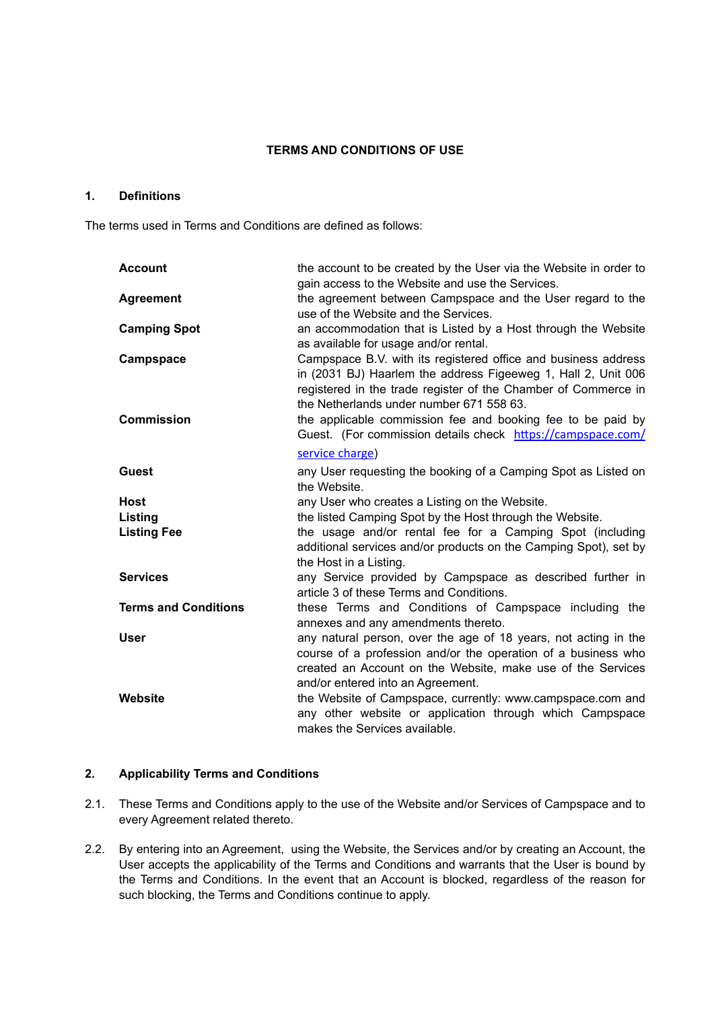## **TERMS AND CONDITIONS OF USE**

## **1. Definitions**

The terms used in Terms and Conditions are defined as follows:

| <b>Account</b>              | the account to be created by the User via the Website in order to<br>gain access to the Website and use the Services.                                                                                                                         |
|-----------------------------|-----------------------------------------------------------------------------------------------------------------------------------------------------------------------------------------------------------------------------------------------|
| <b>Agreement</b>            | the agreement between Campspace and the User regard to the<br>use of the Website and the Services.                                                                                                                                            |
| <b>Camping Spot</b>         | an accommodation that is Listed by a Host through the Website<br>as available for usage and/or rental.                                                                                                                                        |
| Campspace                   | Campspace B.V. with its registered office and business address<br>in (2031 BJ) Haarlem the address Figeeweg 1, Hall 2, Unit 006<br>registered in the trade register of the Chamber of Commerce in<br>the Netherlands under number 671 558 63. |
| <b>Commission</b>           | the applicable commission fee and booking fee to be paid by<br>Guest. (For commission details check https://campspace.com/                                                                                                                    |
|                             | service charge)                                                                                                                                                                                                                               |
| <b>Guest</b>                | any User requesting the booking of a Camping Spot as Listed on<br>the Website.                                                                                                                                                                |
| <b>Host</b>                 | any User who creates a Listing on the Website.                                                                                                                                                                                                |
| Listing                     | the listed Camping Spot by the Host through the Website.                                                                                                                                                                                      |
| <b>Listing Fee</b>          | the usage and/or rental fee for a Camping Spot (including<br>additional services and/or products on the Camping Spot), set by<br>the Host in a Listing.                                                                                       |
| <b>Services</b>             | any Service provided by Campspace as described further in<br>article 3 of these Terms and Conditions.                                                                                                                                         |
| <b>Terms and Conditions</b> | these Terms and Conditions of Campspace including the<br>annexes and any amendments thereto.                                                                                                                                                  |
| <b>User</b>                 | any natural person, over the age of 18 years, not acting in the<br>course of a profession and/or the operation of a business who<br>created an Account on the Website, make use of the Services<br>and/or entered into an Agreement.          |
| Website                     | the Website of Campspace, currently: www.campspace.com and<br>any other website or application through which Campspace<br>makes the Services available.                                                                                       |

# **2. Applicability Terms and Conditions**

- 2.1. These Terms and Conditions apply to the use of the Website and/or Services of Campspace and to every Agreement related thereto.
- 2.2. By entering into an Agreement, using the Website, the Services and/or by creating an Account, the User accepts the applicability of the Terms and Conditions and warrants that the User is bound by the Terms and Conditions. In the event that an Account is blocked, regardless of the reason for such blocking, the Terms and Conditions continue to apply.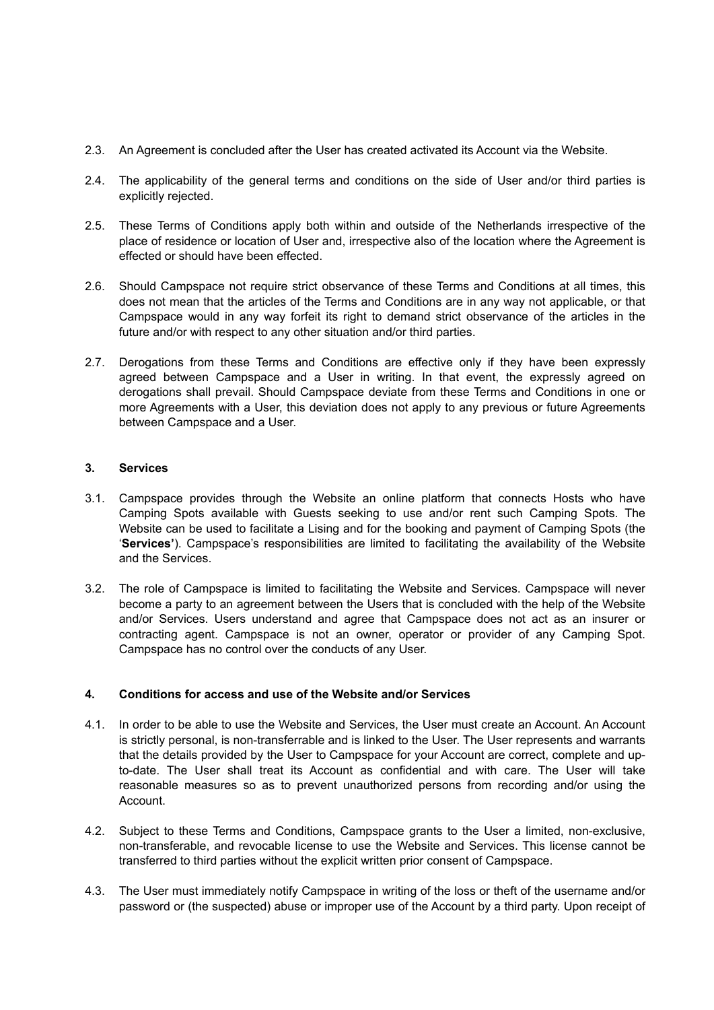- 2.3. An Agreement is concluded after the User has created activated its Account via the Website.
- 2.4. The applicability of the general terms and conditions on the side of User and/or third parties is explicitly rejected.
- 2.5. These Terms of Conditions apply both within and outside of the Netherlands irrespective of the place of residence or location of User and, irrespective also of the location where the Agreement is effected or should have been effected.
- 2.6. Should Campspace not require strict observance of these Terms and Conditions at all times, this does not mean that the articles of the Terms and Conditions are in any way not applicable, or that Campspace would in any way forfeit its right to demand strict observance of the articles in the future and/or with respect to any other situation and/or third parties.
- 2.7. Derogations from these Terms and Conditions are effective only if they have been expressly agreed between Campspace and a User in writing. In that event, the expressly agreed on derogations shall prevail. Should Campspace deviate from these Terms and Conditions in one or more Agreements with a User, this deviation does not apply to any previous or future Agreements between Campspace and a User.

## **3. Services**

- 3.1. Campspace provides through the Website an online platform that connects Hosts who have Camping Spots available with Guests seeking to use and/or rent such Camping Spots. The Website can be used to facilitate a Lising and for the booking and payment of Camping Spots (the '**Services'**). Campspace's responsibilities are limited to facilitating the availability of the Website and the Services.
- 3.2. The role of Campspace is limited to facilitating the Website and Services. Campspace will never become a party to an agreement between the Users that is concluded with the help of the Website and/or Services. Users understand and agree that Campspace does not act as an insurer or contracting agent. Campspace is not an owner, operator or provider of any Camping Spot. Campspace has no control over the conducts of any User.

## **4. Conditions for access and use of the Website and/or Services**

- 4.1. In order to be able to use the Website and Services, the User must create an Account. An Account is strictly personal, is non-transferrable and is linked to the User. The User represents and warrants that the details provided by the User to Campspace for your Account are correct, complete and upto-date. The User shall treat its Account as confidential and with care. The User will take reasonable measures so as to prevent unauthorized persons from recording and/or using the Account.
- 4.2. Subject to these Terms and Conditions, Campspace grants to the User a limited, non-exclusive, non-transferable, and revocable license to use the Website and Services. This license cannot be transferred to third parties without the explicit written prior consent of Campspace.
- 4.3. The User must immediately notify Campspace in writing of the loss or theft of the username and/or password or (the suspected) abuse or improper use of the Account by a third party. Upon receipt of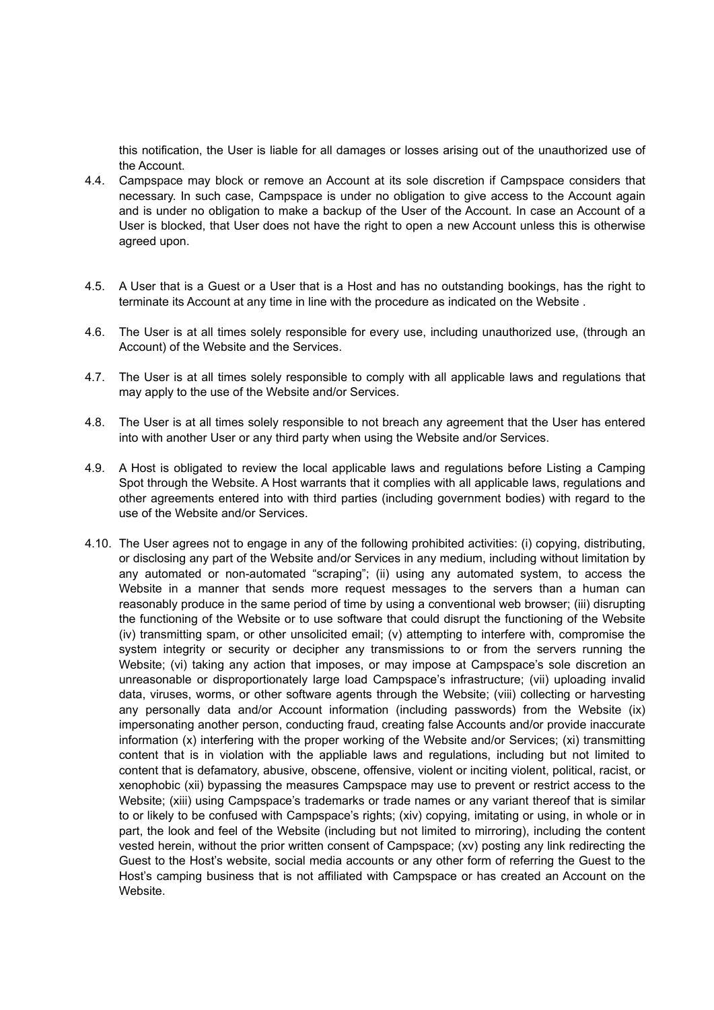this notification, the User is liable for all damages or losses arising out of the unauthorized use of the Account.

- 4.4. Campspace may block or remove an Account at its sole discretion if Campspace considers that necessary. In such case, Campspace is under no obligation to give access to the Account again and is under no obligation to make a backup of the User of the Account. In case an Account of a User is blocked, that User does not have the right to open a new Account unless this is otherwise agreed upon.
- 4.5. A User that is a Guest or a User that is a Host and has no outstanding bookings, has the right to terminate its Account at any time in line with the procedure as indicated on the Website .
- 4.6. The User is at all times solely responsible for every use, including unauthorized use, (through an Account) of the Website and the Services.
- 4.7. The User is at all times solely responsible to comply with all applicable laws and regulations that may apply to the use of the Website and/or Services.
- 4.8. The User is at all times solely responsible to not breach any agreement that the User has entered into with another User or any third party when using the Website and/or Services.
- 4.9. A Host is obligated to review the local applicable laws and regulations before Listing a Camping Spot through the Website. A Host warrants that it complies with all applicable laws, regulations and other agreements entered into with third parties (including government bodies) with regard to the use of the Website and/or Services.
- 4.10. The User agrees not to engage in any of the following prohibited activities: (i) copying, distributing, or disclosing any part of the Website and/or Services in any medium, including without limitation by any automated or non-automated "scraping"; (ii) using any automated system, to access the Website in a manner that sends more request messages to the servers than a human can reasonably produce in the same period of time by using a conventional web browser; (iii) disrupting the functioning of the Website or to use software that could disrupt the functioning of the Website (iv) transmitting spam, or other unsolicited email; (v) attempting to interfere with, compromise the system integrity or security or decipher any transmissions to or from the servers running the Website; (vi) taking any action that imposes, or may impose at Campspace's sole discretion an unreasonable or disproportionately large load Campspace's infrastructure; (vii) uploading invalid data, viruses, worms, or other software agents through the Website; (viii) collecting or harvesting any personally data and/or Account information (including passwords) from the Website (ix) impersonating another person, conducting fraud, creating false Accounts and/or provide inaccurate information (x) interfering with the proper working of the Website and/or Services; (xi) transmitting content that is in violation with the appliable laws and regulations, including but not limited to content that is defamatory, abusive, obscene, offensive, violent or inciting violent, political, racist, or xenophobic (xii) bypassing the measures Campspace may use to prevent or restrict access to the Website; (xiii) using Campspace's trademarks or trade names or any variant thereof that is similar to or likely to be confused with Campspace's rights; (xiv) copying, imitating or using, in whole or in part, the look and feel of the Website (including but not limited to mirroring), including the content vested herein, without the prior written consent of Campspace; (xv) posting any link redirecting the Guest to the Host's website, social media accounts or any other form of referring the Guest to the Host's camping business that is not affiliated with Campspace or has created an Account on the Website.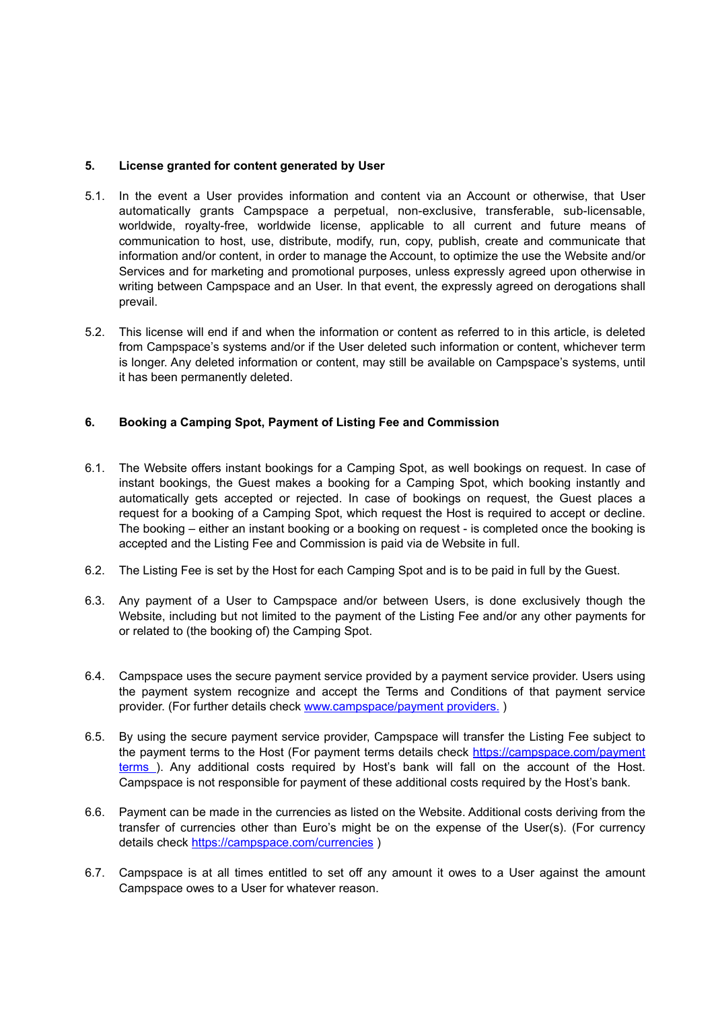## **5. License granted for content generated by User**

- 5.1. In the event a User provides information and content via an Account or otherwise, that User automatically grants Campspace a perpetual, non-exclusive, transferable, sub-licensable, worldwide, royalty-free, worldwide license, applicable to all current and future means of communication to host, use, distribute, modify, run, copy, publish, create and communicate that information and/or content, in order to manage the Account, to optimize the use the Website and/or Services and for marketing and promotional purposes, unless expressly agreed upon otherwise in writing between Campspace and an User. In that event, the expressly agreed on derogations shall prevail.
- 5.2. This license will end if and when the information or content as referred to in this article, is deleted from Campspace's systems and/or if the User deleted such information or content, whichever term is longer. Any deleted information or content, may still be available on Campspace's systems, until it has been permanently deleted.

## **6. Booking a Camping Spot, Payment of Listing Fee and Commission**

- 6.1. The Website offers instant bookings for a Camping Spot, as well bookings on request. In case of instant bookings, the Guest makes a booking for a Camping Spot, which booking instantly and automatically gets accepted or rejected. In case of bookings on request, the Guest places a request for a booking of a Camping Spot, which request the Host is required to accept or decline. The booking – either an instant booking or a booking on request - is completed once the booking is accepted and the Listing Fee and Commission is paid via de Website in full.
- 6.2. The Listing Fee is set by the Host for each Camping Spot and is to be paid in full by the Guest.
- 6.3. Any payment of a User to Campspace and/or between Users, is done exclusively though the Website, including but not limited to the payment of the Listing Fee and/or any other payments for or related to (the booking of) the Camping Spot.
- 6.4. Campspace uses the secure payment service provided by a payment service provider. Users using the payment system recognize and accept the Terms and Conditions of that payment service provider. (For further details check [www.campspace/payment providers.](https://campspace.com/en/faq/general/with-which-payment-providers-does-campspace-work_496) )
- 6.5. By using the secure payment service provider, Campspace will transfer the Listing Fee subject to the payment terms to the Host (For payment terms details check [https://campspace.com/payment](https://campspace.com/en/faq/host/when-do-i-get-paid_177) [terms](https://campspace.com/en/faq/host/when-do-i-get-paid_177) ). Any additional costs required by Host's bank will fall on the account of the Host. Campspace is not responsible for payment of these additional costs required by the Host's bank.
- 6.6. Payment can be made in the currencies as listed on the Website. Additional costs deriving from the transfer of currencies other than Euro's might be on the expense of the User(s). (For currency details check [https://campspace.com/currencies](https://campspace.com/en/faq/general/currencies_499) )
- 6.7. Campspace is at all times entitled to set off any amount it owes to a User against the amount Campspace owes to a User for whatever reason.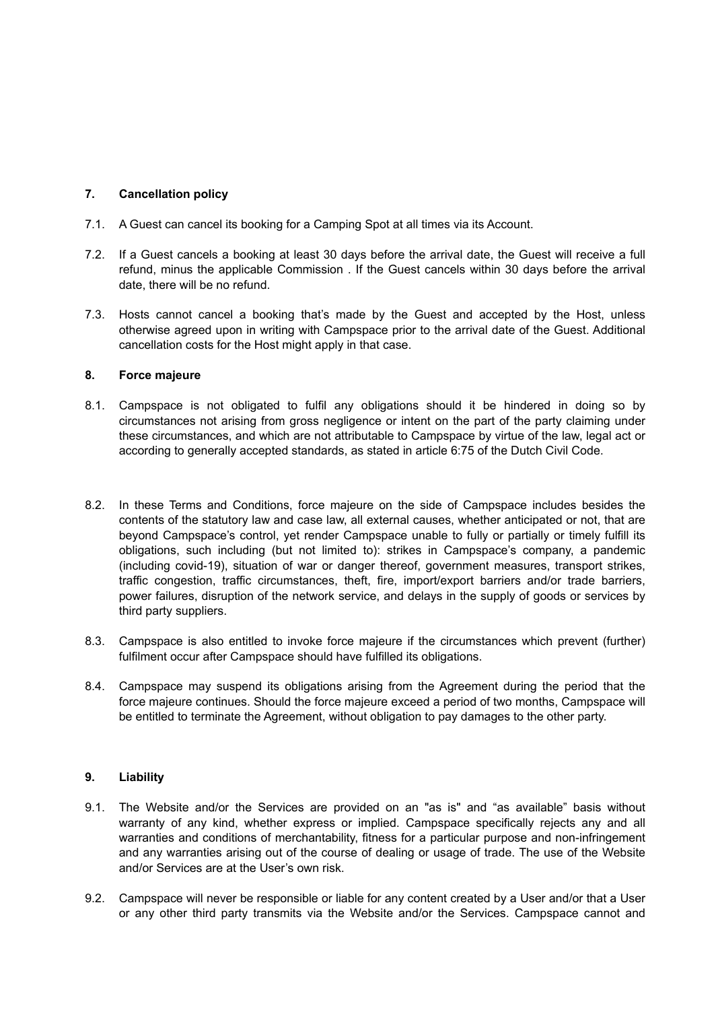## **7. Cancellation policy**

- 7.1. A Guest can cancel its booking for a Camping Spot at all times via its Account.
- 7.2. If a Guest cancels a booking at least 30 days before the arrival date, the Guest will receive a full refund, minus the applicable Commission . If the Guest cancels within 30 days before the arrival date, there will be no refund.
- 7.3. Hosts cannot cancel a booking that's made by the Guest and accepted by the Host, unless otherwise agreed upon in writing with Campspace prior to the arrival date of the Guest. Additional cancellation costs for the Host might apply in that case.

## **8. Force majeure**

- 8.1. Campspace is not obligated to fulfil any obligations should it be hindered in doing so by circumstances not arising from gross negligence or intent on the part of the party claiming under these circumstances, and which are not attributable to Campspace by virtue of the law, legal act or according to generally accepted standards, as stated in article 6:75 of the Dutch Civil Code.
- 8.2. In these Terms and Conditions, force majeure on the side of Campspace includes besides the contents of the statutory law and case law, all external causes, whether anticipated or not, that are beyond Campspace's control, yet render Campspace unable to fully or partially or timely fulfill its obligations, such including (but not limited to): strikes in Campspace's company, a pandemic (including covid-19), situation of war or danger thereof, government measures, transport strikes, traffic congestion, traffic circumstances, theft, fire, import/export barriers and/or trade barriers, power failures, disruption of the network service, and delays in the supply of goods or services by third party suppliers.
- 8.3. Campspace is also entitled to invoke force majeure if the circumstances which prevent (further) fulfilment occur after Campspace should have fulfilled its obligations.
- 8.4. Campspace may suspend its obligations arising from the Agreement during the period that the force majeure continues. Should the force majeure exceed a period of two months, Campspace will be entitled to terminate the Agreement, without obligation to pay damages to the other party.

## **9. Liability**

- 9.1. The Website and/or the Services are provided on an "as is" and "as available" basis without warranty of any kind, whether express or implied. Campspace specifically rejects any and all warranties and conditions of merchantability, fitness for a particular purpose and non-infringement and any warranties arising out of the course of dealing or usage of trade. The use of the Website and/or Services are at the User's own risk.
- 9.2. Campspace will never be responsible or liable for any content created by a User and/or that a User or any other third party transmits via the Website and/or the Services. Campspace cannot and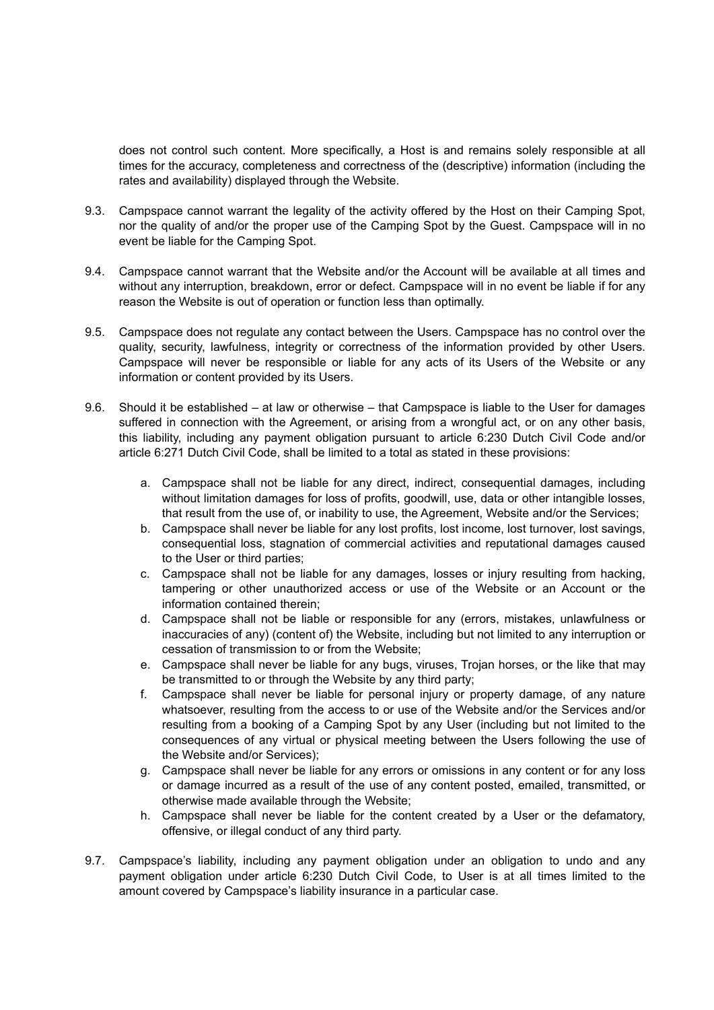does not control such content. More specifically, a Host is and remains solely responsible at all times for the accuracy, completeness and correctness of the (descriptive) information (including the rates and availability) displayed through the Website.

- 9.3. Campspace cannot warrant the legality of the activity offered by the Host on their Camping Spot, nor the quality of and/or the proper use of the Camping Spot by the Guest. Campspace will in no event be liable for the Camping Spot.
- 9.4. Campspace cannot warrant that the Website and/or the Account will be available at all times and without any interruption, breakdown, error or defect. Campspace will in no event be liable if for any reason the Website is out of operation or function less than optimally.
- 9.5. Campspace does not regulate any contact between the Users. Campspace has no control over the quality, security, lawfulness, integrity or correctness of the information provided by other Users. Campspace will never be responsible or liable for any acts of its Users of the Website or any information or content provided by its Users.
- 9.6. Should it be established at law or otherwise that Campspace is liable to the User for damages suffered in connection with the Agreement, or arising from a wrongful act, or on any other basis, this liability, including any payment obligation pursuant to article 6:230 Dutch Civil Code and/or article 6:271 Dutch Civil Code, shall be limited to a total as stated in these provisions:
	- a. Campspace shall not be liable for any direct, indirect, consequential damages, including without limitation damages for loss of profits, goodwill, use, data or other intangible losses, that result from the use of, or inability to use, the Agreement, Website and/or the Services;
	- b. Campspace shall never be liable for any lost profits, lost income, lost turnover, lost savings, consequential loss, stagnation of commercial activities and reputational damages caused to the User or third parties;
	- c. Campspace shall not be liable for any damages, losses or injury resulting from hacking, tampering or other unauthorized access or use of the Website or an Account or the information contained therein;
	- d. Campspace shall not be liable or responsible for any (errors, mistakes, unlawfulness or inaccuracies of any) (content of) the Website, including but not limited to any interruption or cessation of transmission to or from the Website;
	- e. Campspace shall never be liable for any bugs, viruses, Trojan horses, or the like that may be transmitted to or through the Website by any third party;
	- f. Campspace shall never be liable for personal injury or property damage, of any nature whatsoever, resulting from the access to or use of the Website and/or the Services and/or resulting from a booking of a Camping Spot by any User (including but not limited to the consequences of any virtual or physical meeting between the Users following the use of the Website and/or Services);
	- g. Campspace shall never be liable for any errors or omissions in any content or for any loss or damage incurred as a result of the use of any content posted, emailed, transmitted, or otherwise made available through the Website;
	- h. Campspace shall never be liable for the content created by a User or the defamatory, offensive, or illegal conduct of any third party.
- 9.7. Campspace's liability, including any payment obligation under an obligation to undo and any payment obligation under article 6:230 Dutch Civil Code, to User is at all times limited to the amount covered by Campspace's liability insurance in a particular case.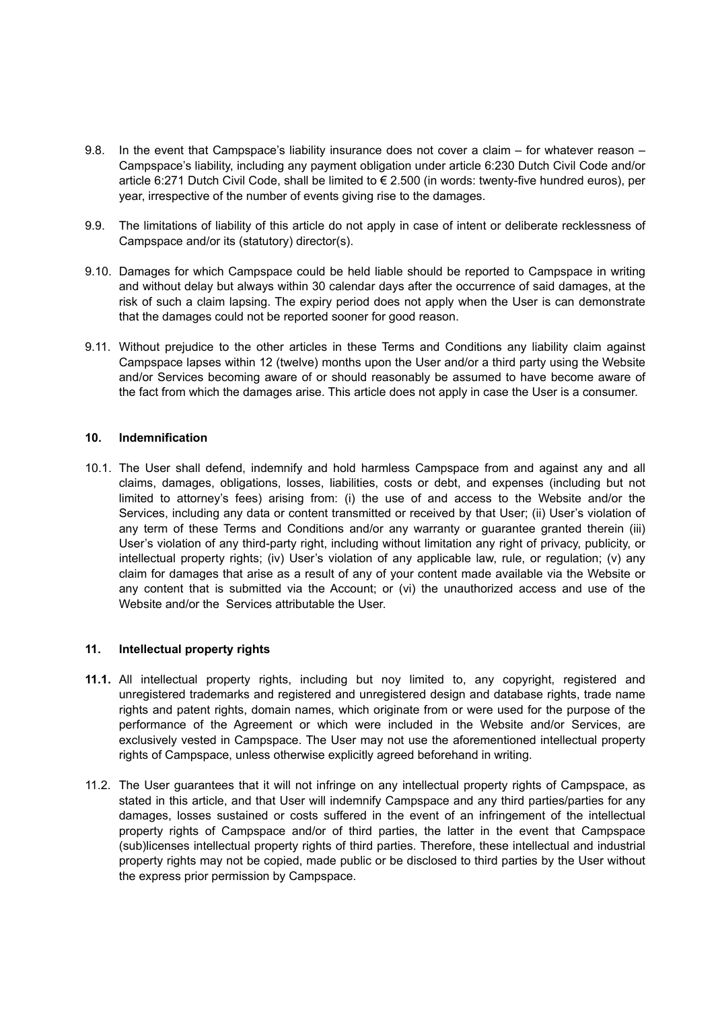- 9.8. In the event that Campspace's liability insurance does not cover a claim for whatever reason Campspace's liability, including any payment obligation under article 6:230 Dutch Civil Code and/or article 6:271 Dutch Civil Code, shall be limited to € 2.500 (in words: twenty-five hundred euros), per year, irrespective of the number of events giving rise to the damages.
- 9.9. The limitations of liability of this article do not apply in case of intent or deliberate recklessness of Campspace and/or its (statutory) director(s).
- 9.10. Damages for which Campspace could be held liable should be reported to Campspace in writing and without delay but always within 30 calendar days after the occurrence of said damages, at the risk of such a claim lapsing. The expiry period does not apply when the User is can demonstrate that the damages could not be reported sooner for good reason.
- 9.11. Without prejudice to the other articles in these Terms and Conditions any liability claim against Campspace lapses within 12 (twelve) months upon the User and/or a third party using the Website and/or Services becoming aware of or should reasonably be assumed to have become aware of the fact from which the damages arise. This article does not apply in case the User is a consumer.

## **10. Indemnification**

10.1. The User shall defend, indemnify and hold harmless Campspace from and against any and all claims, damages, obligations, losses, liabilities, costs or debt, and expenses (including but not limited to attorney's fees) arising from: (i) the use of and access to the Website and/or the Services, including any data or content transmitted or received by that User; (ii) User's violation of any term of these Terms and Conditions and/or any warranty or guarantee granted therein (iii) User's violation of any third-party right, including without limitation any right of privacy, publicity, or intellectual property rights; (iv) User's violation of any applicable law, rule, or regulation; (v) any claim for damages that arise as a result of any of your content made available via the Website or any content that is submitted via the Account; or (vi) the unauthorized access and use of the Website and/or the Services attributable the User.

## **11. Intellectual property rights**

- **11.1.** All intellectual property rights, including but noy limited to, any copyright, registered and unregistered trademarks and registered and unregistered design and database rights, trade name rights and patent rights, domain names, which originate from or were used for the purpose of the performance of the Agreement or which were included in the Website and/or Services, are exclusively vested in Campspace. The User may not use the aforementioned intellectual property rights of Campspace, unless otherwise explicitly agreed beforehand in writing.
- 11.2. The User guarantees that it will not infringe on any intellectual property rights of Campspace, as stated in this article, and that User will indemnify Campspace and any third parties/parties for any damages, losses sustained or costs suffered in the event of an infringement of the intellectual property rights of Campspace and/or of third parties, the latter in the event that Campspace (sub)licenses intellectual property rights of third parties. Therefore, these intellectual and industrial property rights may not be copied, made public or be disclosed to third parties by the User without the express prior permission by Campspace.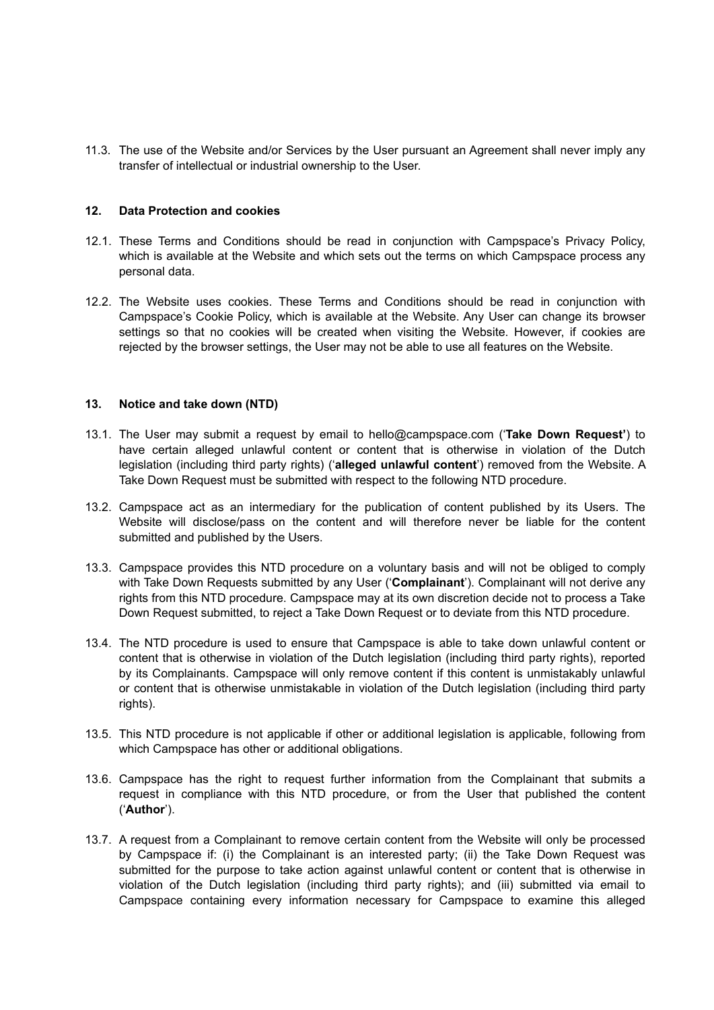11.3. The use of the Website and/or Services by the User pursuant an Agreement shall never imply any transfer of intellectual or industrial ownership to the User.

#### **12. Data Protection and cookies**

- 12.1. These Terms and Conditions should be read in conjunction with Campspace's Privacy Policy, which is available at the Website and which sets out the terms on which Campspace process any personal data.
- 12.2. The Website uses cookies. These Terms and Conditions should be read in conjunction with Campspace's Cookie Policy, which is available at the Website. Any User can change its browser settings so that no cookies will be created when visiting the Website. However, if cookies are rejected by the browser settings, the User may not be able to use all features on the Website.

#### **13. Notice and take down (NTD)**

- 13.1. The User may submit a request by email to hello@campspace.com ('**Take Down Request'**) to have certain alleged unlawful content or content that is otherwise in violation of the Dutch legislation (including third party rights) ('**alleged unlawful content**') removed from the Website. A Take Down Request must be submitted with respect to the following NTD procedure.
- 13.2. Campspace act as an intermediary for the publication of content published by its Users. The Website will disclose/pass on the content and will therefore never be liable for the content submitted and published by the Users.
- 13.3. Campspace provides this NTD procedure on a voluntary basis and will not be obliged to comply with Take Down Requests submitted by any User ('**Complainant**'). Complainant will not derive any rights from this NTD procedure. Campspace may at its own discretion decide not to process a Take Down Request submitted, to reject a Take Down Request or to deviate from this NTD procedure.
- 13.4. The NTD procedure is used to ensure that Campspace is able to take down unlawful content or content that is otherwise in violation of the Dutch legislation (including third party rights), reported by its Complainants. Campspace will only remove content if this content is unmistakably unlawful or content that is otherwise unmistakable in violation of the Dutch legislation (including third party rights).
- 13.5. This NTD procedure is not applicable if other or additional legislation is applicable, following from which Campspace has other or additional obligations.
- 13.6. Campspace has the right to request further information from the Complainant that submits a request in compliance with this NTD procedure, or from the User that published the content ('**Author**').
- 13.7. A request from a Complainant to remove certain content from the Website will only be processed by Campspace if: (i) the Complainant is an interested party; (ii) the Take Down Request was submitted for the purpose to take action against unlawful content or content that is otherwise in violation of the Dutch legislation (including third party rights); and (iii) submitted via email to Campspace containing every information necessary for Campspace to examine this alleged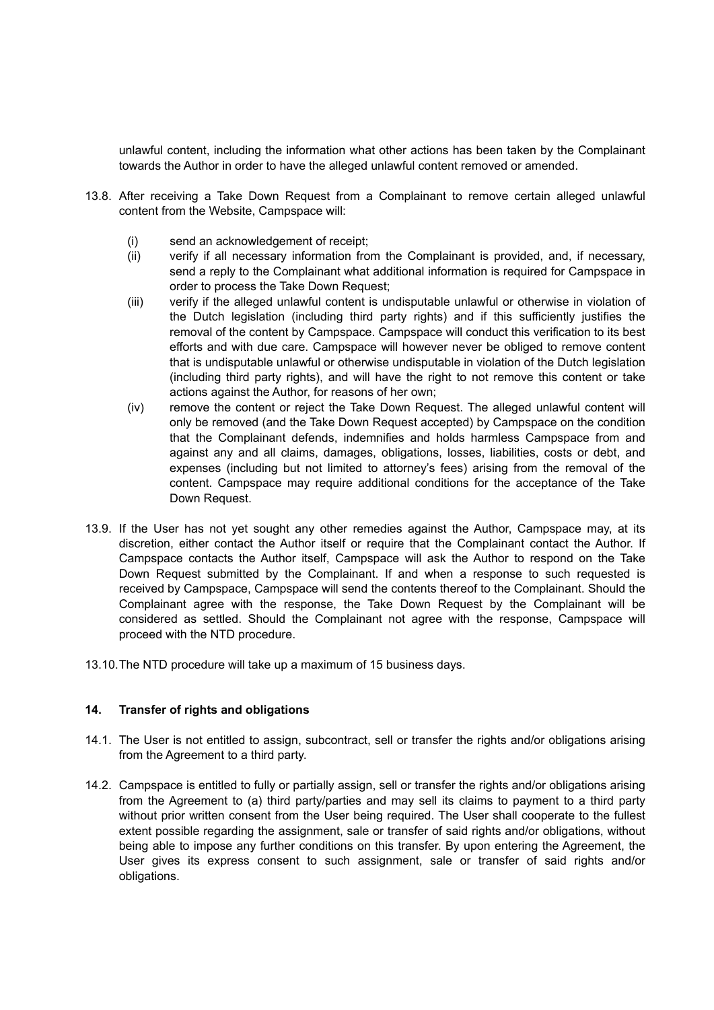unlawful content, including the information what other actions has been taken by the Complainant towards the Author in order to have the alleged unlawful content removed or amended.

- 13.8. After receiving a Take Down Request from a Complainant to remove certain alleged unlawful content from the Website, Campspace will:
	- (i) send an acknowledgement of receipt;
	- (ii) verify if all necessary information from the Complainant is provided, and, if necessary, send a reply to the Complainant what additional information is required for Campspace in order to process the Take Down Request;
	- (iii) verify if the alleged unlawful content is undisputable unlawful or otherwise in violation of the Dutch legislation (including third party rights) and if this sufficiently justifies the removal of the content by Campspace. Campspace will conduct this verification to its best efforts and with due care. Campspace will however never be obliged to remove content that is undisputable unlawful or otherwise undisputable in violation of the Dutch legislation (including third party rights), and will have the right to not remove this content or take actions against the Author, for reasons of her own;
	- (iv) remove the content or reject the Take Down Request. The alleged unlawful content will only be removed (and the Take Down Request accepted) by Campspace on the condition that the Complainant defends, indemnifies and holds harmless Campspace from and against any and all claims, damages, obligations, losses, liabilities, costs or debt, and expenses (including but not limited to attorney's fees) arising from the removal of the content. Campspace may require additional conditions for the acceptance of the Take Down Request.
- 13.9. If the User has not yet sought any other remedies against the Author, Campspace may, at its discretion, either contact the Author itself or require that the Complainant contact the Author. If Campspace contacts the Author itself, Campspace will ask the Author to respond on the Take Down Request submitted by the Complainant. If and when a response to such requested is received by Campspace, Campspace will send the contents thereof to the Complainant. Should the Complainant agree with the response, the Take Down Request by the Complainant will be considered as settled. Should the Complainant not agree with the response, Campspace will proceed with the NTD procedure.
- 13.10.The NTD procedure will take up a maximum of 15 business days.

## **14. Transfer of rights and obligations**

- 14.1. The User is not entitled to assign, subcontract, sell or transfer the rights and/or obligations arising from the Agreement to a third party.
- 14.2. Campspace is entitled to fully or partially assign, sell or transfer the rights and/or obligations arising from the Agreement to (a) third party/parties and may sell its claims to payment to a third party without prior written consent from the User being required. The User shall cooperate to the fullest extent possible regarding the assignment, sale or transfer of said rights and/or obligations, without being able to impose any further conditions on this transfer. By upon entering the Agreement, the User gives its express consent to such assignment, sale or transfer of said rights and/or obligations.